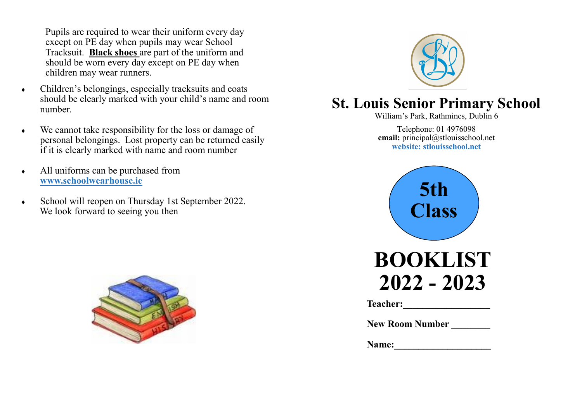Pupils are required to wear their uniform every day except on PE day when pupils may wear School Tracksuit. **Black shoes** are part of the uniform and should be worn every day except on PE day when children may wear runners.

- Children's belongings, especially tracksuits and coats should be clearly marked with your child's name and room number.
- We cannot take responsibility for the loss or damage of personal belongings. Lost property can be returned easily if it is clearly marked with name and room number
- All uniforms can be purchased from **www.schoolwearhouse.ie**
- School will reopen on Thursday 1st September 2022. We look forward to seeing you then





# **St. Louis Senior Primary School**

William's Park, Rathmines, Dublin 6

Telephone: 01 4976098 **email:** principal@stlouisschool.net **website: stlouisschool.net**



| <b>BOOKLIST</b> |
|-----------------|
| 2022 - 2023     |

**Teacher:** 

**New Room Number** 

**Name:**  $\blacksquare$